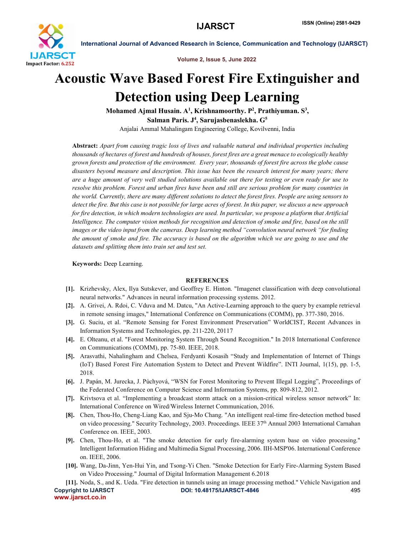

International Journal of Advanced Research in Science, Communication and Technology (IJARSCT)

Volume 2, Issue 5, June 2022

## Acoustic Wave Based Forest Fire Extinguisher and Detection using Deep Learning

Mohamed Ajmal Husain.  $\mathrm{A}^{1},$  Krishnamoorthy.  $\mathrm{P}^{2},$  Prathiyuman.  $\mathrm{S}^{3},$ Salman Paris. J<sup>4</sup>, Sarujasbenaslekha. G<sup>5</sup>

Anjalai Ammal Mahalingam Engineering College, Kovilvenni, India

Abstract: *Apart from causing tragic loss of lives and valuable natural and individual properties including thousands of hectares of forest and hundreds of houses, forest fires are a great menace to ecologically healthy grown forests and protection of the environment. Every year, thousands of forest fire across the globe cause disasters beyond measure and description. This issue has been the research interest for many years; there are a huge amount of very well studied solutions available out there for testing or even ready for use to resolve this problem. Forest and urban fires have been and still are serious problem for many countries in the world. Currently, there are many different solutions to detect the forest fires. People are using sensors to detect the fire. But this case is not possible for large acres of forest. In this paper, we discuss a new approach for fire detection, in which modern technologies are used. In particular, we propose a platform that Artificial Intelligence. The computer vision methods for recognition and detection of smoke and fire, based on the still images or the video input from the cameras. Deep learning method "convolution neural network "for finding the amount of smoke and fire. The accuracy is based on the algorithm which we are going to use and the datasets and splitting them into train set and test set.*

Keywords: Deep Learning.

## **REFERENCES**

- [1]. Krizhevsky, Alex, Ilya Sutskever, and Geoffrey E. Hinton. "Imagenet classification with deep convolutional neural networks." Advances in neural information processing systems. 2012.
- [2]. A. Grivei, A. Rdoi, C. Vduva and M. Datcu, "An Active-Learning approach to the query by example retrieval in remote sensing images," International Conference on Communications (COMM), pp. 377-380, 2016.
- [3]. G. Suciu, et al. "Remote Sensing for Forest Environment Preservation" WorldCIST, Recent Advances in Information Systems and Technologies, pp. 211-220, 20117
- [4]. E. Olteanu, et al. "Forest Monitoring System Through Sound Recognition." In 2018 International Conference on Communications (COMM), pp. 75-80. IEEE, 2018.
- [5]. Arasvathi, Nahalingham and Chelsea, Ferdyanti Kosasih "Study and Implementation of Internet of Things (IoT) Based Forest Fire Automation System to Detect and Prevent Wildfire". INTI Journal, 1(15), pp. 1-5, 2018.
- [6]. J. Papán, M. Jurecka, J. Púchyová, "WSN for Forest Monitoring to Prevent Illegal Logging", Proceedings of the Federated Conference on Computer Science and Information Systems, pp. 809-812, 2012.
- [7]. Krivtsova et al. "Implementing a broadcast storm attack on a mission-critical wireless sensor network" In: International Conference on Wired/Wireless Internet Communication, 2016.
- [8]. Chen, Thou-Ho, Cheng-Liang Kao, and Sju-Mo Chang. "An intelligent real-time fire-detection method based on video processing." Security Technology, 2003. Proceedings. IEEE 37<sup>th</sup> Annual 2003 International Carnahan Conference on. IEEE, 2003.
- [9]. Chen, Thou-Ho, et al. "The smoke detection for early fire-alarming system base on video processing." Intelligent Information Hiding and Multimedia Signal Processing, 2006. IIH-MSP'06. International Conference on. IEEE, 2006.
- [10]. Wang, Da-Jinn, Yen-Hui Yin, and Tsong-Yi Chen. "Smoke Detection for Early Fire-Alarming System Based on Video Processing." Journal of Digital Information Management 6.2018
- Copyright to IJARSCT DOI: 10.48175/IJARSCT-4846 495 www.ijarsct.co.in [11]. Noda, S., and K. Ueda. "Fire detection in tunnels using an image processing method." Vehicle Navigation and